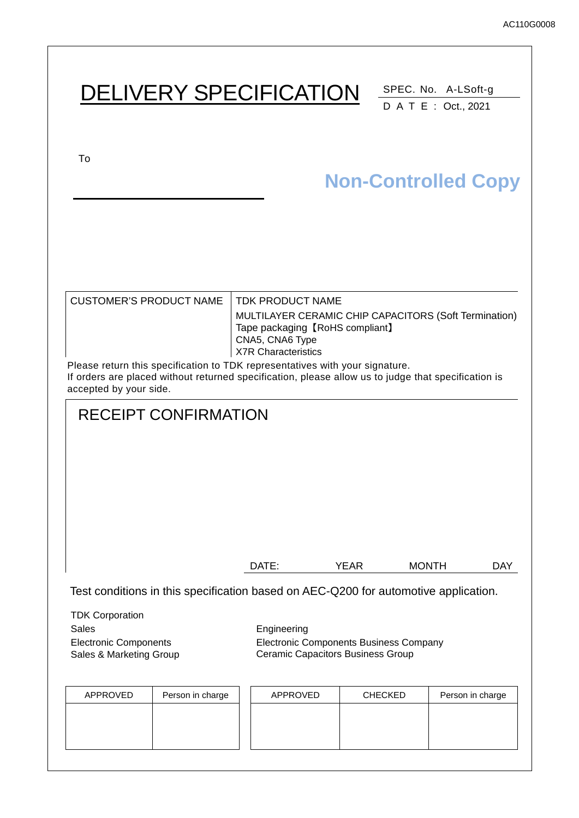# DELIVERY SPECIFICATION SPEC. No. A-LSoft-g DATE : Oct., 2021 To CUSTOMER'S PRODUCT NAME | TDK PRODUCT NAME MULTILAYER CERAMIC CHIP CAPACITORS (Soft Termination) Tape packaging 【RoHS compliant】 CNA5, CNA6 Type X7R Characteristics Please return this specification to TDK representatives with your signature. If orders are placed without returned specification, please allow us to judge that specification is accepted by your side. RECEIPT CONFIRMATION DATE: YEAR MONTH DAY Test conditions in this specification based on AEC-Q200 for automotive application. TDK Corporation Sales **Engineering** Electronic Components Sales & Marketing Group Electronic Components Business Company Ceramic Capacitors Business Group **Non-Controlled Copy**

| APPROVED | Person in charge | APPROVED | <b>CHECKED</b> | Person in charge |
|----------|------------------|----------|----------------|------------------|
|          |                  |          |                |                  |
|          |                  |          |                |                  |
|          |                  |          |                |                  |
|          |                  |          |                |                  |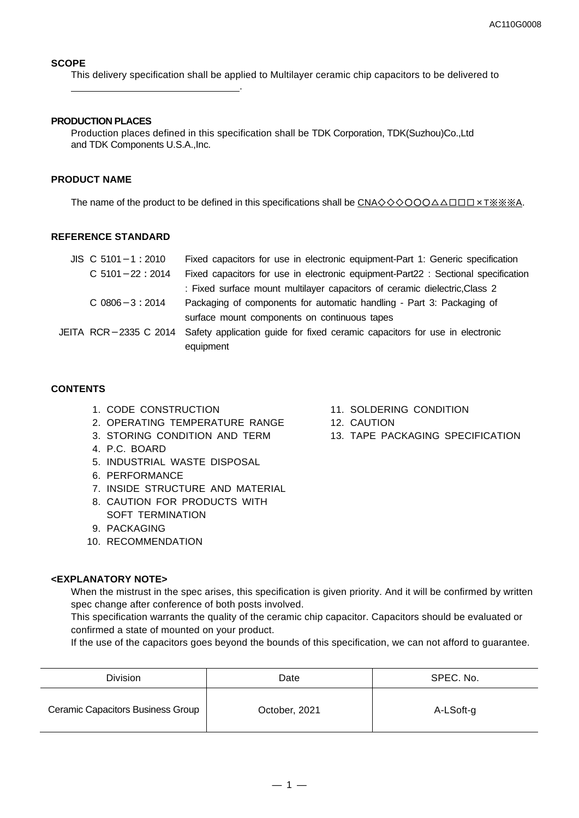#### **SCOPE**

This delivery specification shall be applied to Multilayer ceramic chip capacitors to be delivered to

#### **PRODUCTION PLACES**

.

Production places defined in this specification shall be TDK Corporation, TDK(Suzhou)Co.,Ltd and TDK Components U.S.A.,Inc.

#### **PRODUCT NAME**

The name of the product to be defined in this specifications shall be CNA◇◇◇○○○△△□□□×T※※※A.

#### **REFERENCE STANDARD**

| $JIS$ C 5101 - 1 : 2010 | Fixed capacitors for use in electronic equipment-Part 1: Generic specification                    |
|-------------------------|---------------------------------------------------------------------------------------------------|
| $C$ 5101 - 22 : 2014    | Fixed capacitors for use in electronic equipment-Part22 : Sectional specification                 |
|                         | : Fixed surface mount multilayer capacitors of ceramic dielectric, Class 2                        |
| $C$ 0806 $-3:2014$      | Packaging of components for automatic handling - Part 3: Packaging of                             |
|                         | surface mount components on continuous tapes                                                      |
|                         | JEITA RCR-2335 C 2014 Safety application guide for fixed ceramic capacitors for use in electronic |
|                         | equipment                                                                                         |

#### **CONTENTS**

- 1. CODE CONSTRUCTION
- 2. OPERATING TEMPERATURE RANGE
- 3. STORING CONDITION AND TERM
- 4. P.C. BOARD
- 5. INDUSTRIAL WASTE DISPOSAL
- 6. PERFORMANCE
- 7. INSIDE STRUCTURE AND MATERIAL
- 8. CAUTION FOR PRODUCTS WITH SOFT TERMINATION
- 9. PACKAGING
- 10. RECOMMENDATION

#### **<EXPLANATORY NOTE>**

When the mistrust in the spec arises, this specification is given priority. And it will be confirmed by written spec change after conference of both posts involved.

This specification warrants the quality of the ceramic chip capacitor. Capacitors should be evaluated or confirmed a state of mounted on your product.

If the use of the capacitors goes beyond the bounds of this specification, we can not afford to guarantee.

| <b>Division</b>                   | Date          | SPEC. No. |
|-----------------------------------|---------------|-----------|
| Ceramic Capacitors Business Group | October, 2021 | A-LSoft-g |

- 11. SOLDERING CONDITION
- 12. CAUTION
- 13. TAPE PACKAGING SPECIFICATION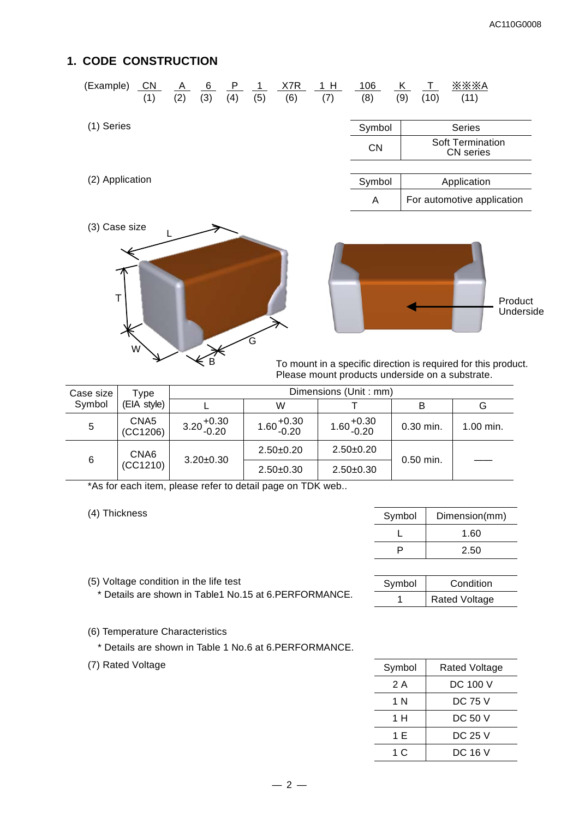## **1. CODE CONSTRUCTION**

| (Example)       | $\overline{\text{CN}}$<br>(1) | $\overline{A}$<br>(2) | 6<br>(3) | P.<br>(4) | -1<br>(5) | X7R<br>(6) | 1H<br>(7) | 106<br>(8) | K<br>$\top$<br>(9)<br>(10) | $\times\times\times$ A<br>(11)       |
|-----------------|-------------------------------|-----------------------|----------|-----------|-----------|------------|-----------|------------|----------------------------|--------------------------------------|
| (1) Series      |                               |                       |          |           |           |            |           | Symbol     |                            | <b>Series</b>                        |
|                 |                               |                       |          |           |           |            |           | <b>CN</b>  |                            | <b>Soft Termination</b><br>CN series |
|                 |                               |                       |          |           |           |            |           |            |                            |                                      |
| (2) Application |                               |                       |          |           |           |            |           | Symbol     |                            | Application                          |
|                 |                               |                       |          |           |           |            |           | A          |                            | For automotive application           |
| (3) Case size   |                               |                       |          |           |           |            |           |            |                            |                                      |





To mount in a specific direction is required for this product. Please mount products underside on a substrate.

 $\overline{a}$ 

| Case size | Type                         |                        |                        | Dimensions (Unit: mm)  |             |           |
|-----------|------------------------------|------------------------|------------------------|------------------------|-------------|-----------|
| Symbol    | (EIA style)                  |                        | W                      |                        |             | G         |
| 5         | CNA <sub>5</sub><br>(CC1206) | $3.20_{-0.20}^{+0.30}$ | $1.60_{-0.20}^{+0.30}$ | $1.60_{-0.20}^{+0.30}$ | $0.30$ min. | 1.00 min. |
| 6         | CNA6                         | $3.20 \pm 0.30$        | $2.50+0.20$            | $2.50+0.20$            | $0.50$ min. |           |
|           | (CC1210)                     |                        | $2.50+0.30$            | $2.50+0.30$            |             |           |

\*As for each item, please refer to detail page on TDK web..

(4) Thickness

| Symbol | Dimension(mm) |
|--------|---------------|
|        | 1.60          |
|        | 2.50          |

| Symbol | Condition            |
|--------|----------------------|
|        | <b>Rated Voltage</b> |

(6) Temperature Characteristics

(5) Voltage condition in the life test

\* Details are shown in Table 1 No.6 at 6.PERFORMANCE.

\* Details are shown in Table1 No.15 at 6.PERFORMANCE.

(7) Rated Voltage

| Symbol | Rated Voltage |
|--------|---------------|
| 2 A    | DC 100 V      |
| 1 N    | DC 75 V       |
| 1 H    | DC 50 V       |
| 1 E    | DC 25 V       |
| 1 C    | DC 16 V       |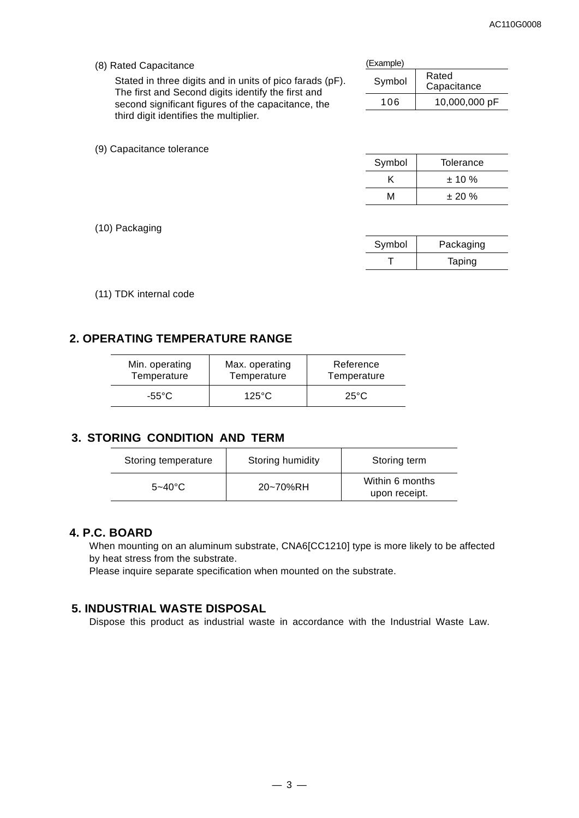(8) Rated Capacitance

(9) Capacitance tolerance

Stated in three digits and in units of pico farads (pF). The first and Second digits identify the first and second significant figures of the capacitance, the third digit identifies the multiplier.

| `⊏xample) |
|-----------|
|-----------|

| Symbol | Rated<br>Capacitance |
|--------|----------------------|
| 106    | 10,000,000 pF        |

| Symbol | Tolerance |
|--------|-----------|
|        | $± 10 \%$ |
| м      | $± 20 \%$ |
|        |           |

(10) Packaging

| Symbol |
|--------|
|        |

(11) TDK internal code

## **2. OPERATING TEMPERATURE RANGE**

| Min. operating | Max. operating  | Reference      |  |
|----------------|-----------------|----------------|--|
| Temperature    | Temperature     | Temperature    |  |
| -55°C.         | $125^{\circ}$ C | $25^{\circ}$ C |  |

## **3. STORING CONDITION AND TERM**

| Storing temperature | Storing humidity | Storing term                     |
|---------------------|------------------|----------------------------------|
| $5 - 40^{\circ}$ C  | 20~70%RH         | Within 6 months<br>upon receipt. |

### **4. P.C. BOARD**

When mounting on an aluminum substrate, CNA6[CC1210] type is more likely to be affected by heat stress from the substrate.

Please inquire separate specification when mounted on the substrate.

## **5. INDUSTRIAL WASTE DISPOSAL**

Dispose this product as industrial waste in accordance with the Industrial Waste Law.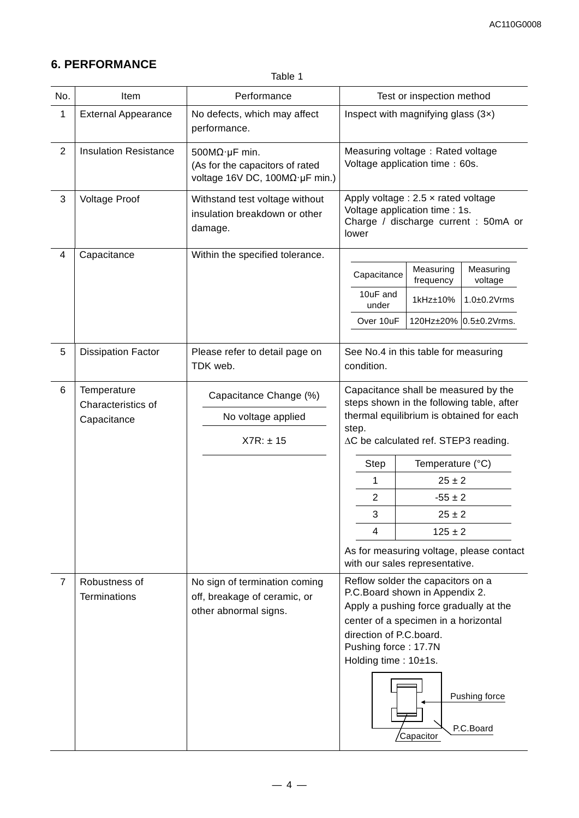## **6. PERFORMANCE**

Table 1

| No.            | Item                                             | Performance                                                                                        | Test or inspection method                                                                                                                                                                                                                                                                          |  |  |
|----------------|--------------------------------------------------|----------------------------------------------------------------------------------------------------|----------------------------------------------------------------------------------------------------------------------------------------------------------------------------------------------------------------------------------------------------------------------------------------------------|--|--|
| 1              | <b>External Appearance</b>                       | No defects, which may affect<br>performance.                                                       | Inspect with magnifying glass $(3x)$                                                                                                                                                                                                                                                               |  |  |
| $\overline{2}$ | <b>Insulation Resistance</b>                     | $500M\Omega \cdot \mu F$ min.<br>(As for the capacitors of rated<br>voltage 16V DC, 100MΩ·μF min.) | Measuring voltage: Rated voltage<br>Voltage application time: 60s.                                                                                                                                                                                                                                 |  |  |
| 3              | <b>Voltage Proof</b>                             | Withstand test voltage without<br>insulation breakdown or other<br>damage.                         | Apply voltage : $2.5 \times$ rated voltage<br>Voltage application time : 1s.<br>Charge / discharge current : 50mA or<br>lower                                                                                                                                                                      |  |  |
| 4              | Capacitance                                      | Within the specified tolerance.                                                                    |                                                                                                                                                                                                                                                                                                    |  |  |
|                |                                                  |                                                                                                    | Measuring<br>Measuring<br>Capacitance<br>frequency<br>voltage                                                                                                                                                                                                                                      |  |  |
|                |                                                  |                                                                                                    | 10uF and<br>$1.0\pm0.2$ Vrms<br>1kHz±10%<br>under                                                                                                                                                                                                                                                  |  |  |
|                |                                                  |                                                                                                    | 120Hz±20% 0.5±0.2Vrms.<br>Over 10uF                                                                                                                                                                                                                                                                |  |  |
| 5              | <b>Dissipation Factor</b>                        | Please refer to detail page on<br>TDK web.                                                         | See No.4 in this table for measuring<br>condition.                                                                                                                                                                                                                                                 |  |  |
| 6              | Temperature<br>Characteristics of<br>Capacitance | Capacitance Change (%)<br>No voltage applied<br>$X7R: \pm 15$                                      | Capacitance shall be measured by the<br>steps shown in the following table, after<br>thermal equilibrium is obtained for each<br>step.<br>∆C be calculated ref. STEP3 reading.<br>Temperature (°C)<br>Step<br>$25 \pm 2$<br>1<br>$\mathbf 2$<br>$-55 \pm 2$<br>3<br>$25 \pm 2$<br>4<br>$125 \pm 2$ |  |  |
|                |                                                  |                                                                                                    | As for measuring voltage, please contact<br>with our sales representative.                                                                                                                                                                                                                         |  |  |
| $\overline{7}$ | Robustness of<br><b>Terminations</b>             | No sign of termination coming<br>off, breakage of ceramic, or<br>other abnormal signs.             | Reflow solder the capacitors on a<br>P.C.Board shown in Appendix 2.<br>Apply a pushing force gradually at the<br>center of a specimen in a horizontal<br>direction of P.C.board.<br>Pushing force: 17.7N<br>Holding time: 10±1s.<br>Pushing force<br>P.C.Board<br>Capacitor                        |  |  |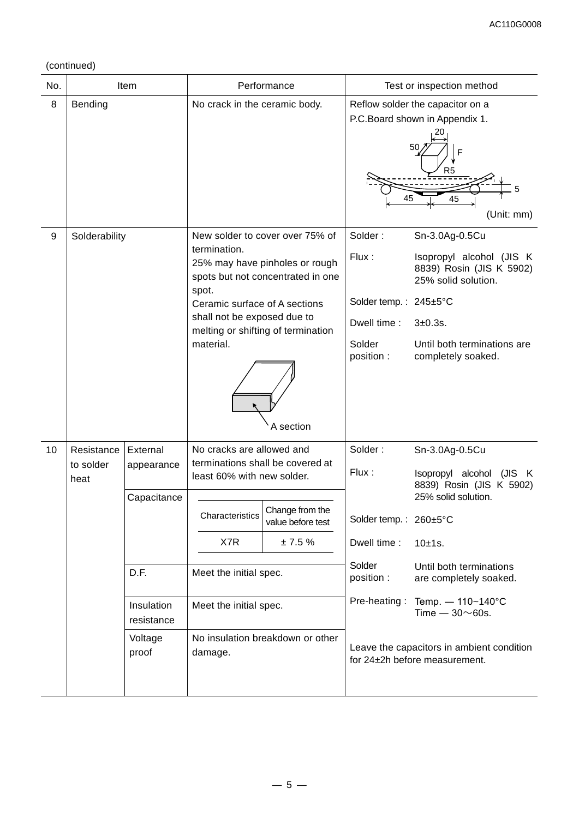## (continued)

| No. |                                 | Item                                                                                          |                                                                                                                                                  | Performance                                                                                                                                               | Test or inspection method                                                                       |                                                                                                                                                                                                                                                                                                                              |  |
|-----|---------------------------------|-----------------------------------------------------------------------------------------------|--------------------------------------------------------------------------------------------------------------------------------------------------|-----------------------------------------------------------------------------------------------------------------------------------------------------------|-------------------------------------------------------------------------------------------------|------------------------------------------------------------------------------------------------------------------------------------------------------------------------------------------------------------------------------------------------------------------------------------------------------------------------------|--|
| 8   | Bending                         |                                                                                               | No crack in the ceramic body.                                                                                                                    |                                                                                                                                                           | 45                                                                                              | Reflow solder the capacitor on a<br>P.C. Board shown in Appendix 1.<br>50<br>R <sub>5</sub><br>45<br>(Unit: mm)                                                                                                                                                                                                              |  |
| 9   | Solderability                   |                                                                                               | termination.<br>spot.<br>Ceramic surface of A sections<br>shall not be exposed due to<br>material.                                               | New solder to cover over 75% of<br>25% may have pinholes or rough<br>spots but not concentrated in one<br>melting or shifting of termination<br>A section | Solder:<br>Flux:<br>Solder temp.: 245±5°C<br>Dwell time:<br>Solder<br>position :                | Sn-3.0Ag-0.5Cu<br>Isopropyl alcohol (JIS K<br>8839) Rosin (JIS K 5902)<br>25% solid solution.<br>3±0.3s.<br>Until both terminations are<br>completely soaked.                                                                                                                                                                |  |
| 10  | Resistance<br>to solder<br>heat | External<br>appearance<br>Capacitance<br>D.F.<br>Insulation<br>resistance<br>Voltage<br>proof | No cracks are allowed and<br>least 60% with new solder.<br>Characteristics<br>X7R<br>Meet the initial spec.<br>Meet the initial spec.<br>damage. | terminations shall be covered at<br>Change from the<br>value before test<br>± 7.5%<br>No insulation breakdown or other                                    | Solder:<br>Flux:<br>Solder temp.: 260±5°C<br>Dwell time:<br>Solder<br>position:<br>Pre-heating: | Sn-3.0Ag-0.5Cu<br>Isopropyl alcohol<br>(JIS K<br>8839) Rosin (JIS K 5902)<br>25% solid solution.<br>10±1s.<br>Until both terminations<br>are completely soaked.<br>Temp. - 110~140°C<br>Time $-30\negthinspace\negthinspace\negthinspace 60s.$<br>Leave the capacitors in ambient condition<br>for 24±2h before measurement. |  |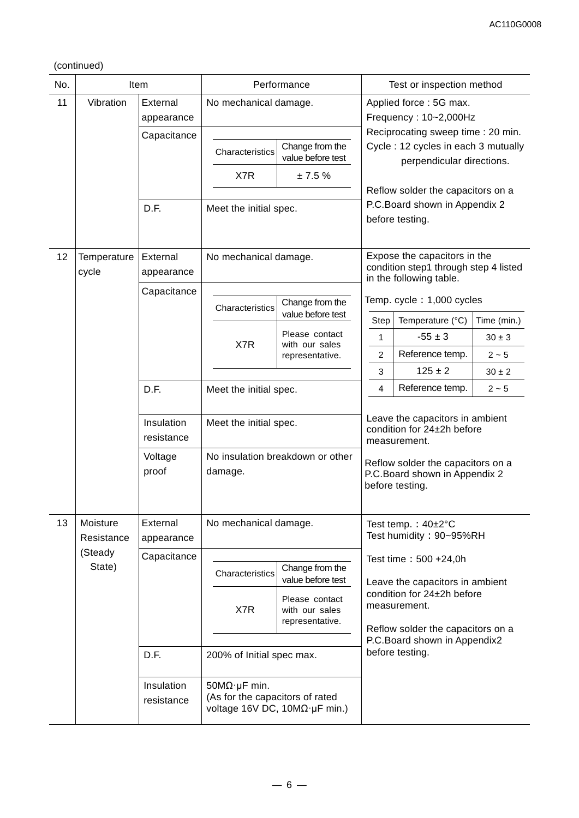#### (continued)

| No. |                                                                                                                      | Item                     |                                             | Performance                                         | Test or inspection method                                                     |                                                                                                  |             |  |
|-----|----------------------------------------------------------------------------------------------------------------------|--------------------------|---------------------------------------------|-----------------------------------------------------|-------------------------------------------------------------------------------|--------------------------------------------------------------------------------------------------|-------------|--|
| 11  | Vibration                                                                                                            | External<br>appearance   | No mechanical damage.                       |                                                     |                                                                               | Applied force: 5G max.<br>Frequency: 10~2,000Hz<br>Reciprocating sweep time : 20 min.            |             |  |
|     |                                                                                                                      | Capacitance              | Characteristics                             | Change from the<br>value before test                |                                                                               | Cycle: 12 cycles in each 3 mutually<br>perpendicular directions.                                 |             |  |
|     |                                                                                                                      |                          | X7R                                         | ± 7.5%                                              |                                                                               |                                                                                                  |             |  |
|     |                                                                                                                      | D.F.                     | Meet the initial spec.                      |                                                     |                                                                               | Reflow solder the capacitors on a<br>P.C.Board shown in Appendix 2<br>before testing.            |             |  |
| 12  | Temperature<br>cycle                                                                                                 | External<br>appearance   | No mechanical damage.                       |                                                     |                                                                               | Expose the capacitors in the<br>condition step1 through step 4 listed<br>in the following table. |             |  |
|     |                                                                                                                      | Capacitance              | Characteristics                             | Change from the                                     |                                                                               | Temp. cycle: 1,000 cycles                                                                        |             |  |
|     |                                                                                                                      |                          |                                             | value before test                                   | <b>Step</b>                                                                   | Temperature (°C)                                                                                 | Time (min.) |  |
|     |                                                                                                                      |                          | X7R                                         | Please contact<br>with our sales                    | $\mathbf{1}$                                                                  | $-55 \pm 3$                                                                                      | $30 \pm 3$  |  |
|     |                                                                                                                      |                          |                                             | representative.                                     | $\overline{c}$                                                                | Reference temp.                                                                                  | $2\sim5$    |  |
|     |                                                                                                                      |                          |                                             |                                                     | 3                                                                             | $125 \pm 2$                                                                                      | $30 \pm 2$  |  |
|     |                                                                                                                      | D.F.                     | Meet the initial spec.                      |                                                     | 4                                                                             | Reference temp.                                                                                  | $2\sim5$    |  |
|     |                                                                                                                      | Insulation<br>resistance | Meet the initial spec.                      |                                                     | Leave the capacitors in ambient<br>condition for 24±2h before<br>measurement. |                                                                                                  |             |  |
|     |                                                                                                                      | Voltage<br>proof         | No insulation breakdown or other<br>damage. |                                                     |                                                                               | Reflow solder the capacitors on a<br>P.C.Board shown in Appendix 2<br>before testing.            |             |  |
| 13  | Moisture<br>Resistance                                                                                               | External<br>appearance   | No mechanical damage.                       |                                                     |                                                                               | Test temp.: $40\pm2^{\circ}C$<br>Test humidity: 90~95%RH                                         |             |  |
|     | State)                                                                                                               | (Steady<br>Capacitance   |                                             | Change from the<br>value before test                |                                                                               | Test time: 500 +24,0h<br>Leave the capacitors in ambient                                         |             |  |
|     |                                                                                                                      |                          |                                             | Please contact<br>with our sales<br>representative. |                                                                               | condition for 24±2h before<br>measurement.<br>Reflow solder the capacitors on a                  |             |  |
|     |                                                                                                                      |                          |                                             |                                                     |                                                                               | P.C.Board shown in Appendix2                                                                     |             |  |
|     | D.F.<br>200% of Initial spec max.                                                                                    |                          |                                             |                                                     | before testing.                                                               |                                                                                                  |             |  |
|     | $50M\Omega$ ·µF min.<br>Insulation<br>(As for the capacitors of rated<br>resistance<br>voltage 16V DC, 10MΩ·μF min.) |                          |                                             |                                                     |                                                                               |                                                                                                  |             |  |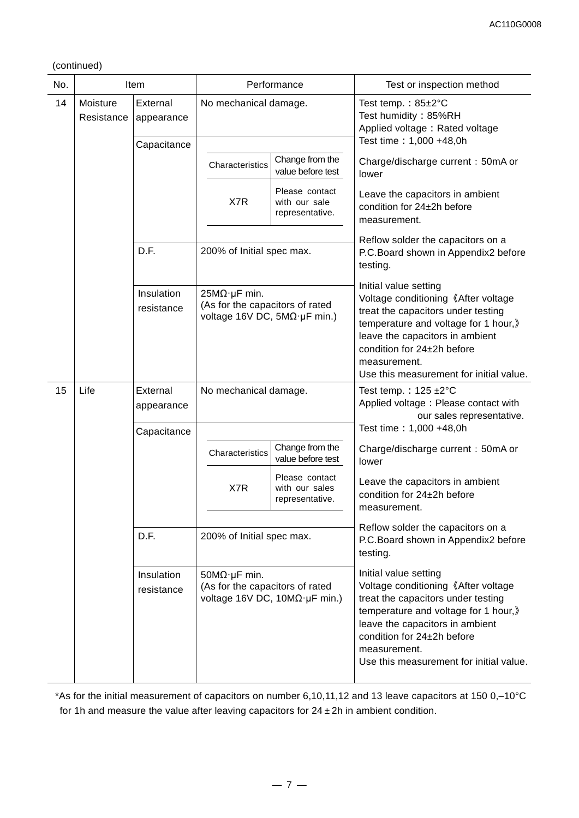(continued)

| No. |                                                                        | Item                     | Performance                                                                                      |                                                                                                                                   | Test or inspection method                                                                                                                                                                                                                                              |  |
|-----|------------------------------------------------------------------------|--------------------------|--------------------------------------------------------------------------------------------------|-----------------------------------------------------------------------------------------------------------------------------------|------------------------------------------------------------------------------------------------------------------------------------------------------------------------------------------------------------------------------------------------------------------------|--|
| 14  | Moisture<br>Resistance                                                 | External<br>appearance   | No mechanical damage.                                                                            |                                                                                                                                   | Test temp.: $85 \pm 2^{\circ}$ C<br>Test humidity: 85%RH<br>Applied voltage: Rated voltage                                                                                                                                                                             |  |
|     |                                                                        | Capacitance              |                                                                                                  |                                                                                                                                   | Test time: 1,000 +48,0h                                                                                                                                                                                                                                                |  |
|     |                                                                        |                          | Characteristics                                                                                  | Change from the<br>value before test                                                                                              | Charge/discharge current: 50mA or<br>lower                                                                                                                                                                                                                             |  |
|     |                                                                        |                          | X7R                                                                                              | Please contact<br>with our sale<br>representative.                                                                                | Leave the capacitors in ambient<br>condition for 24±2h before<br>measurement.                                                                                                                                                                                          |  |
|     |                                                                        | D.F.                     | 200% of Initial spec max.                                                                        |                                                                                                                                   | Reflow solder the capacitors on a<br>P.C.Board shown in Appendix2 before<br>testing.                                                                                                                                                                                   |  |
|     |                                                                        | Insulation<br>resistance | $25M\Omega$ µF min.<br>(As for the capacitors of rated<br>voltage 16V DC, 5MΩ·μF min.)           |                                                                                                                                   | Initial value setting<br>Voltage conditioning 《After voltage<br>treat the capacitors under testing<br>temperature and voltage for 1 hour,)<br>leave the capacitors in ambient<br>condition for 24±2h before<br>measurement.<br>Use this measurement for initial value. |  |
| 15  | Life<br>External<br>No mechanical damage.<br>appearance<br>Capacitance |                          |                                                                                                  | Test temp.: $125 \pm 2^{\circ}$ C<br>Applied voltage: Please contact with<br>our sales representative.<br>Test time: 1,000 +48,0h |                                                                                                                                                                                                                                                                        |  |
|     |                                                                        |                          | Characteristics                                                                                  | Change from the<br>value before test                                                                                              | Charge/discharge current: 50mA or<br>lower                                                                                                                                                                                                                             |  |
|     |                                                                        |                          | X7R                                                                                              | Please contact<br>with our sales<br>representative.                                                                               | Leave the capacitors in ambient<br>condition for 24±2h before<br>measurement.                                                                                                                                                                                          |  |
|     |                                                                        | D.F.                     | 200% of Initial spec max.                                                                        |                                                                                                                                   | Reflow solder the capacitors on a<br>P.C.Board shown in Appendix2 before<br>testing.                                                                                                                                                                                   |  |
|     |                                                                        | Insulation<br>resistance | $50M\Omega \cdot \mu F$ min.<br>(As for the capacitors of rated<br>voltage 16V DC, 10MΩ·μF min.) |                                                                                                                                   | Initial value setting<br>Voltage conditioning 《After voltage<br>treat the capacitors under testing<br>temperature and voltage for 1 hour,)<br>leave the capacitors in ambient<br>condition for 24±2h before<br>measurement.<br>Use this measurement for initial value. |  |

\*As for the initial measurement of capacitors on number 6,10,11,12 and 13 leave capacitors at 150 0,–10°C for 1h and measure the value after leaving capacitors for  $24 \pm 2h$  in ambient condition.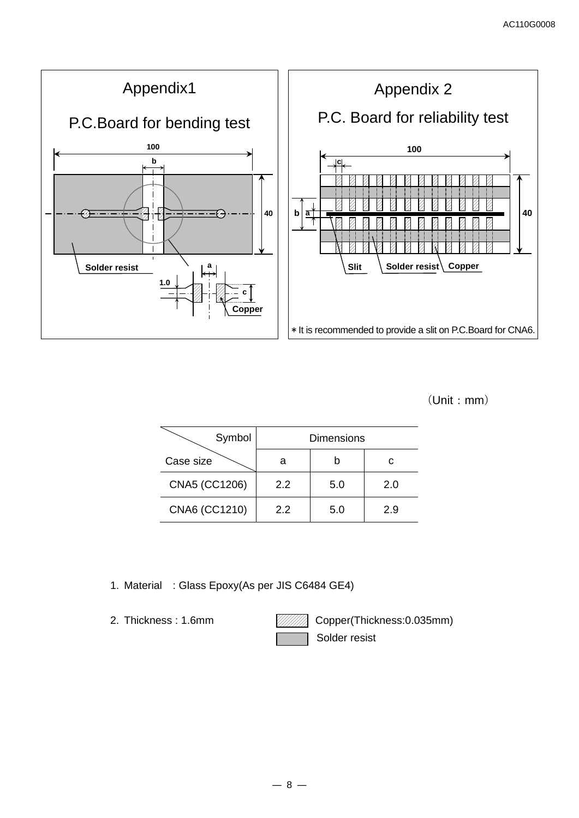

(Unit:mm)

| Symbol        |     | <b>Dimensions</b> |     |
|---------------|-----|-------------------|-----|
| Case size     |     |                   |     |
| CNA5 (CC1206) | 2.2 | 5.0               | 2.0 |
| CNA6 (CC1210) | 22  | 5.0               | 2.9 |

- 1. Material : Glass Epoxy(As per JIS C6484 GE4)
- 

2. Thickness: 1.6mm **Copper(Thickness: 0.035mm)** Solder resist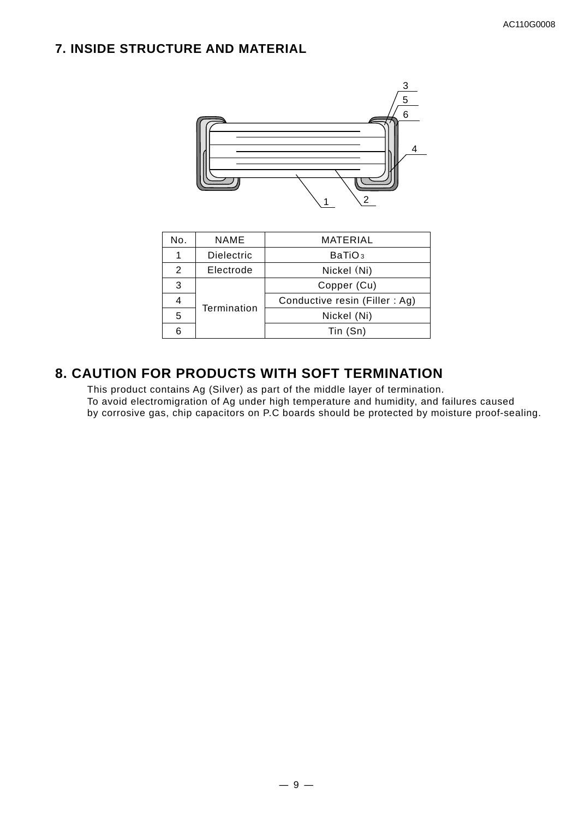# **7. INSIDE STRUCTURE AND MATERIAL**



| No. | <b>NAME</b>       | MATERIAL                      |
|-----|-------------------|-------------------------------|
|     | <b>Dielectric</b> | BaTiO <sub>3</sub>            |
| 2   | Electrode         | Nickel (Ni)                   |
| 3   | Copper (Cu)       |                               |
|     |                   | Conductive resin (Filler: Ag) |
| 5   | Termination       | Nickel (Ni)                   |
| հ   |                   | Tin (Sn)                      |

# **8. CAUTION FOR PRODUCTS WITH SOFT TERMINATION**

This product contains Ag (Silver) as part of the middle layer of termination. To avoid electromigration of Ag under high temperature and humidity, and failures caused by corrosive gas, chip capacitors on P.C boards should be protected by moisture proof-sealing.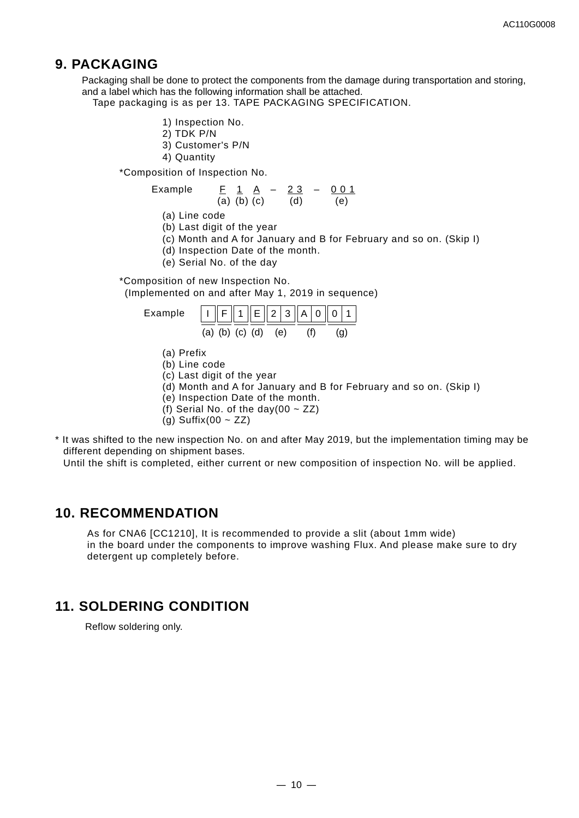## **9. PACKAGING**

Packaging shall be done to protect the components from the damage during transportation and storing, and a label which has the following information shall be attached.

Tape packaging is as per 13. TAPE PACKAGING SPECIFICATION.

- 1) Inspection No.
- 2) TDK P/N
- 3) Customer's P/N
- 4) Quantity

\*Composition of Inspection No.

Example 
$$
\frac{F}{(a)} \times \frac{1}{(b)} \times \frac{A}{(c)} - \frac{2 \cdot 3}{(d)} - \frac{0 \cdot 0 \cdot 1}{(e)}
$$

(a) Line code

- (b) Last digit of the year
- (c) Month and A for January and B for February and so on. (Skip I)
- (d) Inspection Date of the month.
- (e) Serial No. of the day

\*Composition of new Inspection No.

(Implemented on and after May 1, 2019 in sequence)

Example 
$$
\underline{1} \underline{F} \underline{1} \underline{E} \underline{2} \underline{3} \underline{A} \underline{0} \underline{0} \underline{1}
$$
  
(a) (b) (c) (d) (e) (f) (g)

- (a) Prefix
- (b) Line code
- (c) Last digit of the year
- (d) Month and A for January and B for February and so on. (Skip I)
- (e) Inspection Date of the month.
- (f) Serial No. of the day(00  $\sim$  ZZ)
- $(q)$  Suffix(00 ~ ZZ)
- \* It was shifted to the new inspection No. on and after May 2019, but the implementation timing may be different depending on shipment bases.

Until the shift is completed, either current or new composition of inspection No. will be applied.

## **10. RECOMMENDATION**

As for CNA6 [CC1210], It is recommended to provide a slit (about 1mm wide) in the board under the components to improve washing Flux. And please make sure to dry detergent up completely before.

## **11. SOLDERING CONDITION**

Reflow soldering only.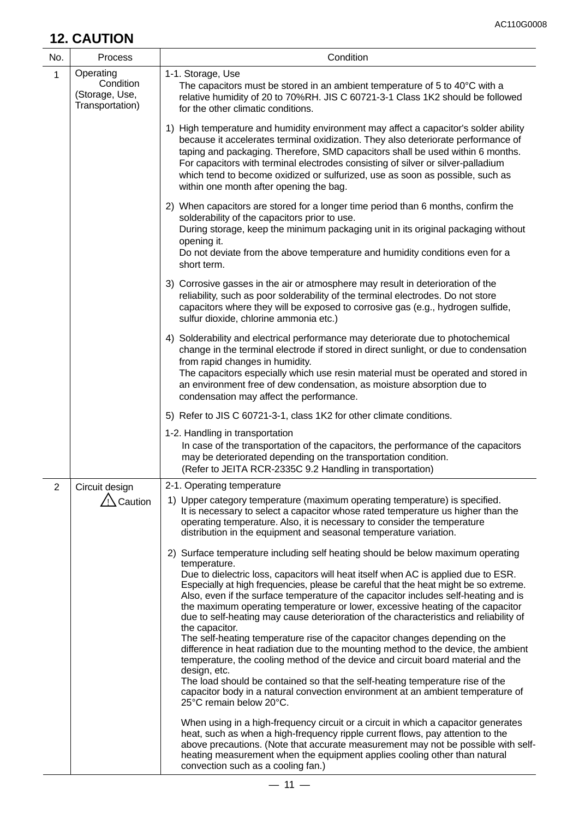# **12. CAUTION**

| No.            | <b>Process</b>                                              | Condition                                                                                                                                                                                                                                                                                                                                                                                                                                                                                                                                                                                                                                                                                                                                                                                                                                                                                                                                                                                                                                 |
|----------------|-------------------------------------------------------------|-------------------------------------------------------------------------------------------------------------------------------------------------------------------------------------------------------------------------------------------------------------------------------------------------------------------------------------------------------------------------------------------------------------------------------------------------------------------------------------------------------------------------------------------------------------------------------------------------------------------------------------------------------------------------------------------------------------------------------------------------------------------------------------------------------------------------------------------------------------------------------------------------------------------------------------------------------------------------------------------------------------------------------------------|
| $\mathbf{1}$   | Operating<br>Condition<br>(Storage, Use,<br>Transportation) | 1-1. Storage, Use<br>The capacitors must be stored in an ambient temperature of 5 to 40°C with a<br>relative humidity of 20 to 70%RH. JIS C 60721-3-1 Class 1K2 should be followed<br>for the other climatic conditions.                                                                                                                                                                                                                                                                                                                                                                                                                                                                                                                                                                                                                                                                                                                                                                                                                  |
|                |                                                             | 1) High temperature and humidity environment may affect a capacitor's solder ability<br>because it accelerates terminal oxidization. They also deteriorate performance of<br>taping and packaging. Therefore, SMD capacitors shall be used within 6 months.<br>For capacitors with terminal electrodes consisting of silver or silver-palladium<br>which tend to become oxidized or sulfurized, use as soon as possible, such as<br>within one month after opening the bag.                                                                                                                                                                                                                                                                                                                                                                                                                                                                                                                                                               |
|                |                                                             | 2) When capacitors are stored for a longer time period than 6 months, confirm the<br>solderability of the capacitors prior to use.<br>During storage, keep the minimum packaging unit in its original packaging without<br>opening it.<br>Do not deviate from the above temperature and humidity conditions even for a<br>short term.                                                                                                                                                                                                                                                                                                                                                                                                                                                                                                                                                                                                                                                                                                     |
|                |                                                             | 3) Corrosive gasses in the air or atmosphere may result in deterioration of the<br>reliability, such as poor solderability of the terminal electrodes. Do not store<br>capacitors where they will be exposed to corrosive gas (e.g., hydrogen sulfide,<br>sulfur dioxide, chlorine ammonia etc.)                                                                                                                                                                                                                                                                                                                                                                                                                                                                                                                                                                                                                                                                                                                                          |
|                |                                                             | 4) Solderability and electrical performance may deteriorate due to photochemical<br>change in the terminal electrode if stored in direct sunlight, or due to condensation<br>from rapid changes in humidity.<br>The capacitors especially which use resin material must be operated and stored in<br>an environment free of dew condensation, as moisture absorption due to<br>condensation may affect the performance.                                                                                                                                                                                                                                                                                                                                                                                                                                                                                                                                                                                                                   |
|                |                                                             | 5) Refer to JIS C 60721-3-1, class 1K2 for other climate conditions.                                                                                                                                                                                                                                                                                                                                                                                                                                                                                                                                                                                                                                                                                                                                                                                                                                                                                                                                                                      |
|                |                                                             | 1-2. Handling in transportation<br>In case of the transportation of the capacitors, the performance of the capacitors<br>may be deteriorated depending on the transportation condition.<br>(Refer to JEITA RCR-2335C 9.2 Handling in transportation)                                                                                                                                                                                                                                                                                                                                                                                                                                                                                                                                                                                                                                                                                                                                                                                      |
| $\overline{2}$ | Circuit design                                              | 2-1. Operating temperature                                                                                                                                                                                                                                                                                                                                                                                                                                                                                                                                                                                                                                                                                                                                                                                                                                                                                                                                                                                                                |
|                | ∧ Caution                                                   | 1) Upper category temperature (maximum operating temperature) is specified.<br>It is necessary to select a capacitor whose rated temperature us higher than the<br>operating temperature. Also, it is necessary to consider the temperature<br>distribution in the equipment and seasonal temperature variation.                                                                                                                                                                                                                                                                                                                                                                                                                                                                                                                                                                                                                                                                                                                          |
|                |                                                             | 2) Surface temperature including self heating should be below maximum operating<br>temperature.<br>Due to dielectric loss, capacitors will heat itself when AC is applied due to ESR.<br>Especially at high frequencies, please be careful that the heat might be so extreme.<br>Also, even if the surface temperature of the capacitor includes self-heating and is<br>the maximum operating temperature or lower, excessive heating of the capacitor<br>due to self-heating may cause deterioration of the characteristics and reliability of<br>the capacitor.<br>The self-heating temperature rise of the capacitor changes depending on the<br>difference in heat radiation due to the mounting method to the device, the ambient<br>temperature, the cooling method of the device and circuit board material and the<br>design, etc.<br>The load should be contained so that the self-heating temperature rise of the<br>capacitor body in a natural convection environment at an ambient temperature of<br>25°C remain below 20°C. |
|                |                                                             | When using in a high-frequency circuit or a circuit in which a capacitor generates<br>heat, such as when a high-frequency ripple current flows, pay attention to the<br>above precautions. (Note that accurate measurement may not be possible with self-<br>heating measurement when the equipment applies cooling other than natural<br>convection such as a cooling fan.)                                                                                                                                                                                                                                                                                                                                                                                                                                                                                                                                                                                                                                                              |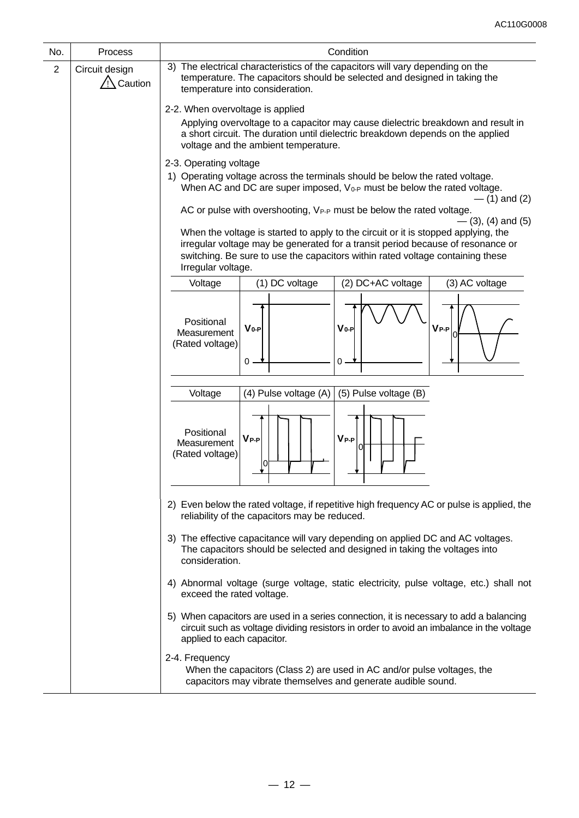| No.            | Process                       | Condition                                                                                                                                                                                                                                                                     |
|----------------|-------------------------------|-------------------------------------------------------------------------------------------------------------------------------------------------------------------------------------------------------------------------------------------------------------------------------|
| $\overline{2}$ | Circuit design<br>/!∖ Caution | 3) The electrical characteristics of the capacitors will vary depending on the<br>temperature. The capacitors should be selected and designed in taking the<br>temperature into consideration.                                                                                |
|                |                               | 2-2. When overvoltage is applied                                                                                                                                                                                                                                              |
|                |                               | Applying overvoltage to a capacitor may cause dielectric breakdown and result in<br>a short circuit. The duration until dielectric breakdown depends on the applied<br>voltage and the ambient temperature.                                                                   |
|                |                               | 2-3. Operating voltage<br>1) Operating voltage across the terminals should be below the rated voltage.<br>When AC and DC are super imposed, $V_{0-P}$ must be below the rated voltage.<br>$-$ (1) and (2)                                                                     |
|                |                               | AC or pulse with overshooting, VPP must be below the rated voltage.<br>$-$ (3), (4) and (5)                                                                                                                                                                                   |
|                |                               | When the voltage is started to apply to the circuit or it is stopped applying, the<br>irregular voltage may be generated for a transit period because of resonance or<br>switching. Be sure to use the capacitors within rated voltage containing these<br>Irregular voltage. |
|                |                               | (1) DC voltage<br>(2) DC+AC voltage<br>(3) AC voltage<br>Voltage                                                                                                                                                                                                              |
|                |                               | Positional<br>$V_{0-P}$<br>$V_{P-P}$<br>$V_{0-P}$<br>Measurement<br>(Rated voltage)<br>0<br>0                                                                                                                                                                                 |
|                |                               | Voltage<br>(4) Pulse voltage (A)<br>(5) Pulse voltage (B)                                                                                                                                                                                                                     |
|                |                               | Positional<br>$V_{P-P}$<br>$V_{P-P}$<br>Measurement<br>(Rated voltage)<br>lo                                                                                                                                                                                                  |
|                |                               | 2) Even below the rated voltage, if repetitive high frequency AC or pulse is applied, the<br>reliability of the capacitors may be reduced.                                                                                                                                    |
|                |                               | 3) The effective capacitance will vary depending on applied DC and AC voltages.<br>The capacitors should be selected and designed in taking the voltages into<br>consideration.                                                                                               |
|                |                               | 4) Abnormal voltage (surge voltage, static electricity, pulse voltage, etc.) shall not<br>exceed the rated voltage.                                                                                                                                                           |
|                |                               | 5) When capacitors are used in a series connection, it is necessary to add a balancing<br>circuit such as voltage dividing resistors in order to avoid an imbalance in the voltage<br>applied to each capacitor.                                                              |
|                |                               | 2-4. Frequency<br>When the capacitors (Class 2) are used in AC and/or pulse voltages, the<br>capacitors may vibrate themselves and generate audible sound.                                                                                                                    |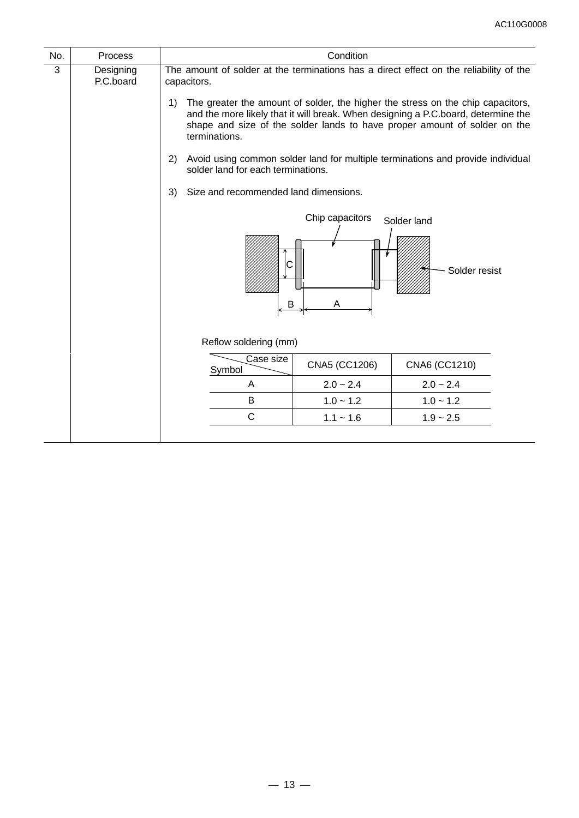| No.                                                                                                                                  | <b>Process</b> | Condition                                   |                                                                                                                                                                                                                                                   |                                                                                 |  |  |
|--------------------------------------------------------------------------------------------------------------------------------------|----------------|---------------------------------------------|---------------------------------------------------------------------------------------------------------------------------------------------------------------------------------------------------------------------------------------------------|---------------------------------------------------------------------------------|--|--|
| 3<br>The amount of solder at the terminations has a direct effect on the reliability of the<br>Designing<br>P.C.board<br>capacitors. |                |                                             |                                                                                                                                                                                                                                                   |                                                                                 |  |  |
|                                                                                                                                      |                | 1)<br>terminations.                         | The greater the amount of solder, the higher the stress on the chip capacitors,<br>and the more likely that it will break. When designing a P.C.board, determine the<br>shape and size of the solder lands to have proper amount of solder on the |                                                                                 |  |  |
|                                                                                                                                      |                | 2)<br>solder land for each terminations.    |                                                                                                                                                                                                                                                   | Avoid using common solder land for multiple terminations and provide individual |  |  |
|                                                                                                                                      |                | Size and recommended land dimensions.<br>3) |                                                                                                                                                                                                                                                   |                                                                                 |  |  |
|                                                                                                                                      |                | B                                           | Chip capacitors<br>Α                                                                                                                                                                                                                              | Solder land<br>Solder resist                                                    |  |  |
|                                                                                                                                      |                | Reflow soldering (mm)                       |                                                                                                                                                                                                                                                   |                                                                                 |  |  |
| Case size<br>CNA5 (CC1206)<br>Symbol                                                                                                 |                |                                             | CNA6 (CC1210)                                                                                                                                                                                                                                     |                                                                                 |  |  |
|                                                                                                                                      |                | Α                                           | $2.0 - 2.4$<br>$2.0 - 2.4$                                                                                                                                                                                                                        |                                                                                 |  |  |
|                                                                                                                                      |                | B                                           | $1.0 - 1.2$                                                                                                                                                                                                                                       | $1.0 - 1.2$                                                                     |  |  |
|                                                                                                                                      |                | C<br>$1.1 - 1.6$<br>$1.9 - 2.5$             |                                                                                                                                                                                                                                                   |                                                                                 |  |  |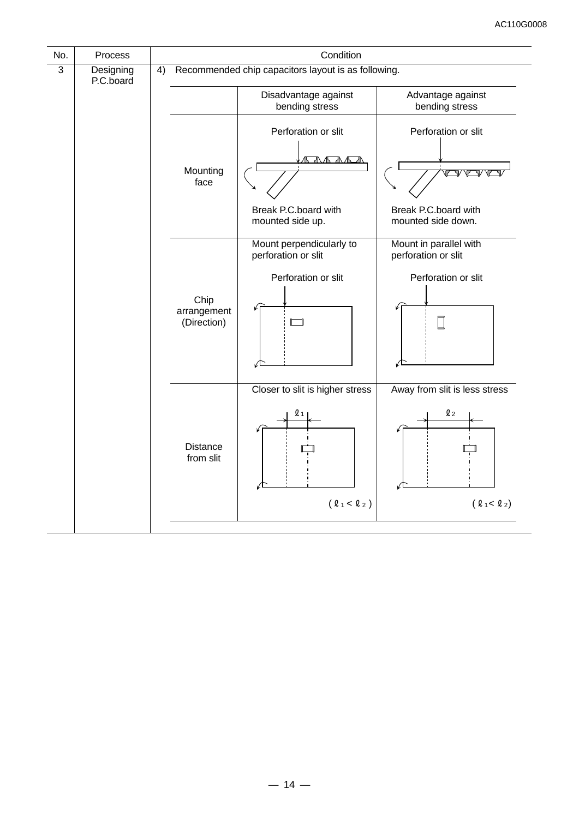| No.            | Process                |    |                                                     | Condition                                       |                                               |  |  |
|----------------|------------------------|----|-----------------------------------------------------|-------------------------------------------------|-----------------------------------------------|--|--|
| $\overline{3}$ | Designing<br>P.C.board | 4) | Recommended chip capacitors layout is as following. |                                                 |                                               |  |  |
|                |                        |    |                                                     | Disadvantage against<br>bending stress          | Advantage against<br>bending stress           |  |  |
|                |                        |    |                                                     | Perforation or slit                             | Perforation or slit                           |  |  |
|                |                        |    | Mounting<br>face                                    | AASAA                                           |                                               |  |  |
|                |                        |    |                                                     | Break P.C.board with<br>mounted side up.        | Break P.C.board with<br>mounted side down.    |  |  |
|                |                        |    |                                                     | Mount perpendicularly to<br>perforation or slit | Mount in parallel with<br>perforation or slit |  |  |
|                |                        |    |                                                     | Perforation or slit                             | Perforation or slit                           |  |  |
|                |                        |    | Chip<br>arrangement<br>(Direction)                  | $\Box$                                          |                                               |  |  |
|                |                        |    |                                                     |                                                 |                                               |  |  |
|                |                        |    | Closer to slit is higher stress                     | Away from slit is less stress                   |                                               |  |  |
|                |                        |    | Distance<br>from slit                               | Q <sub>1</sub>                                  | $\boldsymbol{\ell}$ 2                         |  |  |
|                |                        |    |                                                     | $(\ell_1 < \ell_2)$                             | (21<22)                                       |  |  |
|                |                        |    |                                                     |                                                 |                                               |  |  |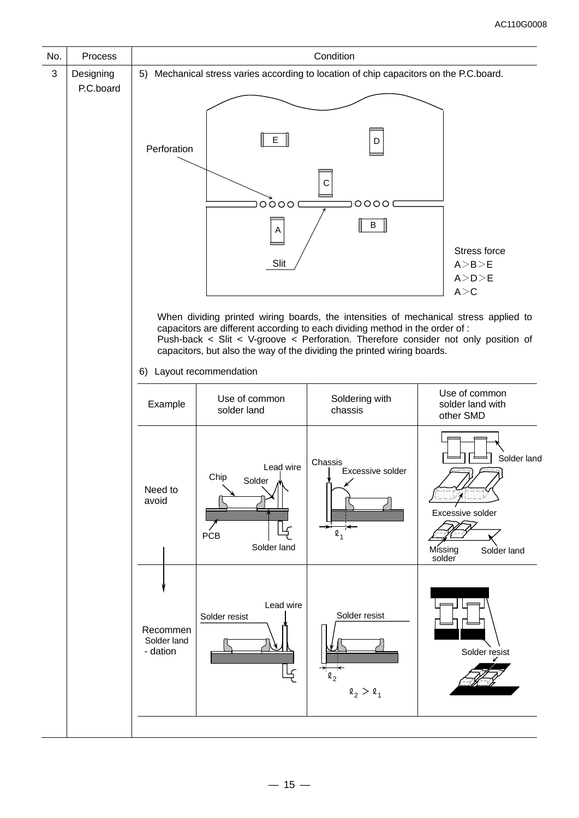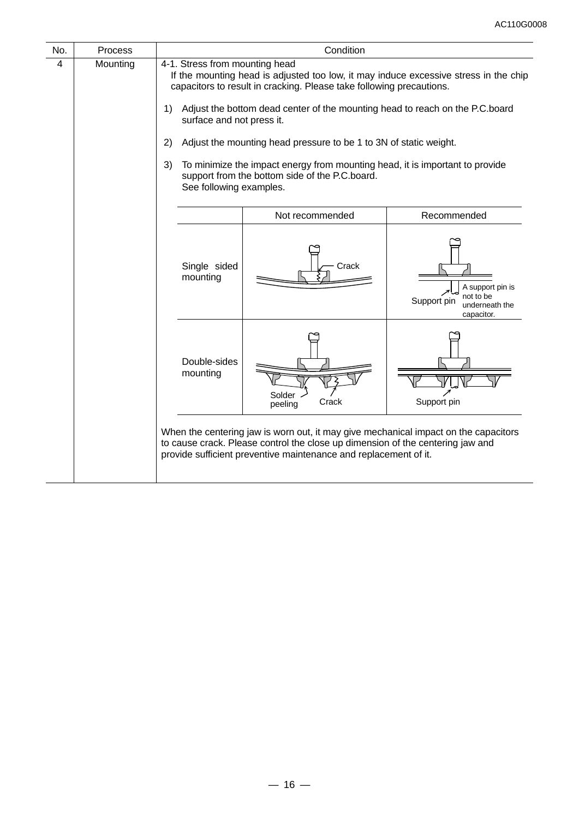| No. | Process  |                                                                                                          | Condition                                                                                                                                                                                                                                                                                                                                                                                                                                           |                                                                              |  |  |  |  |  |
|-----|----------|----------------------------------------------------------------------------------------------------------|-----------------------------------------------------------------------------------------------------------------------------------------------------------------------------------------------------------------------------------------------------------------------------------------------------------------------------------------------------------------------------------------------------------------------------------------------------|------------------------------------------------------------------------------|--|--|--|--|--|
| 4   | Mounting | 4-1. Stress from mounting head<br>1)<br>surface and not press it.<br>2)<br>3)<br>See following examples. | If the mounting head is adjusted too low, it may induce excessive stress in the chip<br>capacitors to result in cracking. Please take following precautions.<br>Adjust the bottom dead center of the mounting head to reach on the P.C.board<br>Adjust the mounting head pressure to be 1 to 3N of static weight.<br>To minimize the impact energy from mounting head, it is important to provide<br>support from the bottom side of the P.C.board. |                                                                              |  |  |  |  |  |
|     |          | Not recommended<br>Recommended                                                                           |                                                                                                                                                                                                                                                                                                                                                                                                                                                     |                                                                              |  |  |  |  |  |
|     |          | Single sided<br>mounting                                                                                 | Crack                                                                                                                                                                                                                                                                                                                                                                                                                                               | A support pin is<br>not to be<br>Support pin<br>underneath the<br>capacitor. |  |  |  |  |  |
|     |          | Double-sides<br>mounting                                                                                 | Solder<br>Crack<br>peeling                                                                                                                                                                                                                                                                                                                                                                                                                          | Support pin                                                                  |  |  |  |  |  |
|     |          |                                                                                                          | When the centering jaw is worn out, it may give mechanical impact on the capacitors<br>to cause crack. Please control the close up dimension of the centering jaw and<br>provide sufficient preventive maintenance and replacement of it.                                                                                                                                                                                                           |                                                                              |  |  |  |  |  |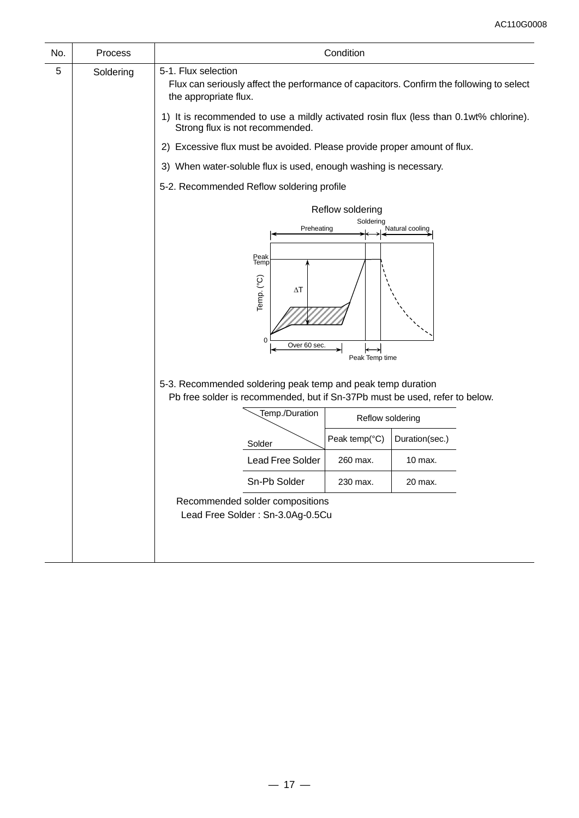| No. | Process   | Condition                                                                                                                                  |  |  |  |  |  |  |
|-----|-----------|--------------------------------------------------------------------------------------------------------------------------------------------|--|--|--|--|--|--|
| 5   | Soldering | 5-1. Flux selection<br>Flux can seriously affect the performance of capacitors. Confirm the following to select<br>the appropriate flux.   |  |  |  |  |  |  |
|     |           | 1) It is recommended to use a mildly activated rosin flux (less than 0.1wt% chlorine).<br>Strong flux is not recommended.                  |  |  |  |  |  |  |
|     |           | 2) Excessive flux must be avoided. Please provide proper amount of flux.                                                                   |  |  |  |  |  |  |
|     |           | 3) When water-soluble flux is used, enough washing is necessary.                                                                           |  |  |  |  |  |  |
|     |           | 5-2. Recommended Reflow soldering profile                                                                                                  |  |  |  |  |  |  |
|     |           | Reflow soldering                                                                                                                           |  |  |  |  |  |  |
|     |           | Soldering<br>Preheating<br>Natural cooling                                                                                                 |  |  |  |  |  |  |
|     |           | Peak<br>Temp<br>Temp. (°C)<br>$\Delta T$<br>$\Omega$<br>Over 60 sec.<br>Peak Temp time                                                     |  |  |  |  |  |  |
|     |           | 5-3. Recommended soldering peak temp and peak temp duration<br>Pb free solder is recommended, but if Sn-37Pb must be used, refer to below. |  |  |  |  |  |  |
|     |           | Temp./Duration<br>Reflow soldering                                                                                                         |  |  |  |  |  |  |
|     |           | Peak temp(°C)<br>Duration(sec.)<br>Solder                                                                                                  |  |  |  |  |  |  |
|     |           | Lead Free Solder<br>260 max.<br>10 max.                                                                                                    |  |  |  |  |  |  |
|     |           | Sn-Pb Solder<br>230 max.<br>20 max.                                                                                                        |  |  |  |  |  |  |
|     |           | Recommended solder compositions<br>Lead Free Solder: Sn-3.0Ag-0.5Cu                                                                        |  |  |  |  |  |  |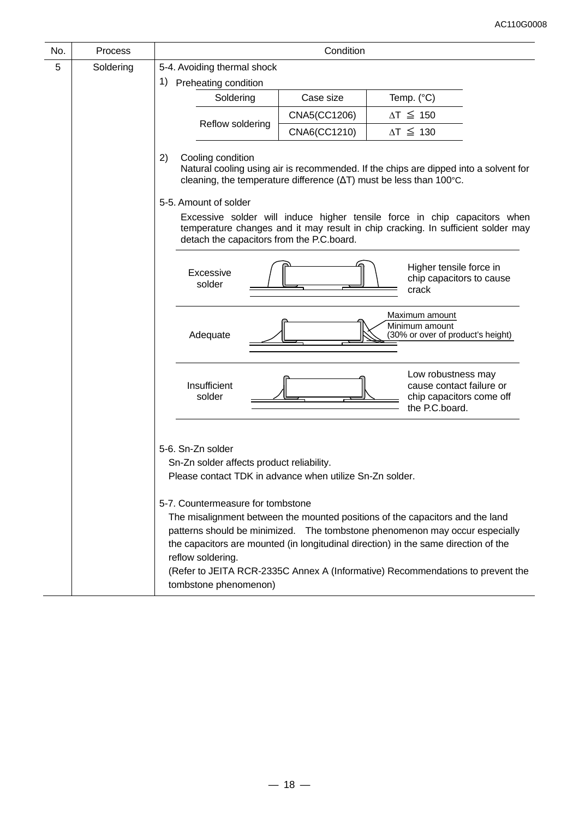| No. | Process   |                                                                                                                                                                                                               | Condition                                                                                                                                                                                                  |                                                                                                                                                                                                                                                                                                                                        |  |  |  |  |  |
|-----|-----------|---------------------------------------------------------------------------------------------------------------------------------------------------------------------------------------------------------------|------------------------------------------------------------------------------------------------------------------------------------------------------------------------------------------------------------|----------------------------------------------------------------------------------------------------------------------------------------------------------------------------------------------------------------------------------------------------------------------------------------------------------------------------------------|--|--|--|--|--|
| 5   | Soldering | 5-4. Avoiding thermal shock                                                                                                                                                                                   |                                                                                                                                                                                                            |                                                                                                                                                                                                                                                                                                                                        |  |  |  |  |  |
|     |           | 1)<br>Preheating condition                                                                                                                                                                                    |                                                                                                                                                                                                            |                                                                                                                                                                                                                                                                                                                                        |  |  |  |  |  |
|     |           | Soldering                                                                                                                                                                                                     | Case size                                                                                                                                                                                                  | Temp. (°C)                                                                                                                                                                                                                                                                                                                             |  |  |  |  |  |
|     |           |                                                                                                                                                                                                               | CNA5(CC1206)                                                                                                                                                                                               | $\Delta T \leq 150$                                                                                                                                                                                                                                                                                                                    |  |  |  |  |  |
|     |           | Reflow soldering                                                                                                                                                                                              | CNA6(CC1210)                                                                                                                                                                                               | $\Delta T \leq 130$                                                                                                                                                                                                                                                                                                                    |  |  |  |  |  |
|     |           | Cooling condition<br>2)<br>Natural cooling using air is recommended. If the chips are dipped into a solvent for<br>cleaning, the temperature difference ( $\Delta T$ ) must be less than 100 $^{\circ}$ C.    |                                                                                                                                                                                                            |                                                                                                                                                                                                                                                                                                                                        |  |  |  |  |  |
|     |           | 5-5. Amount of solder                                                                                                                                                                                         |                                                                                                                                                                                                            |                                                                                                                                                                                                                                                                                                                                        |  |  |  |  |  |
|     |           |                                                                                                                                                                                                               | Excessive solder will induce higher tensile force in chip capacitors when<br>temperature changes and it may result in chip cracking. In sufficient solder may<br>detach the capacitors from the P.C.board. |                                                                                                                                                                                                                                                                                                                                        |  |  |  |  |  |
|     |           | Excessive<br>solder                                                                                                                                                                                           |                                                                                                                                                                                                            | Higher tensile force in<br>chip capacitors to cause<br>crack                                                                                                                                                                                                                                                                           |  |  |  |  |  |
|     |           | Adequate                                                                                                                                                                                                      |                                                                                                                                                                                                            | Maximum amount<br>Minimum amount<br>(30% or over of product's height)                                                                                                                                                                                                                                                                  |  |  |  |  |  |
|     |           | Insufficient<br>solder                                                                                                                                                                                        |                                                                                                                                                                                                            | Low robustness may<br>cause contact failure or<br>chip capacitors come off<br>the P.C.board.                                                                                                                                                                                                                                           |  |  |  |  |  |
|     |           | 5-6. Sn-Zn solder<br>Sn-Zn solder affects product reliability.<br>Please contact TDK in advance when utilize Sn-Zn solder.<br>5-7. Countermeasure for tombstone<br>reflow soldering.<br>tombstone phenomenon) |                                                                                                                                                                                                            | The misalignment between the mounted positions of the capacitors and the land<br>patterns should be minimized.  The tombstone phenomenon may occur especially<br>the capacitors are mounted (in longitudinal direction) in the same direction of the<br>(Refer to JEITA RCR-2335C Annex A (Informative) Recommendations to prevent the |  |  |  |  |  |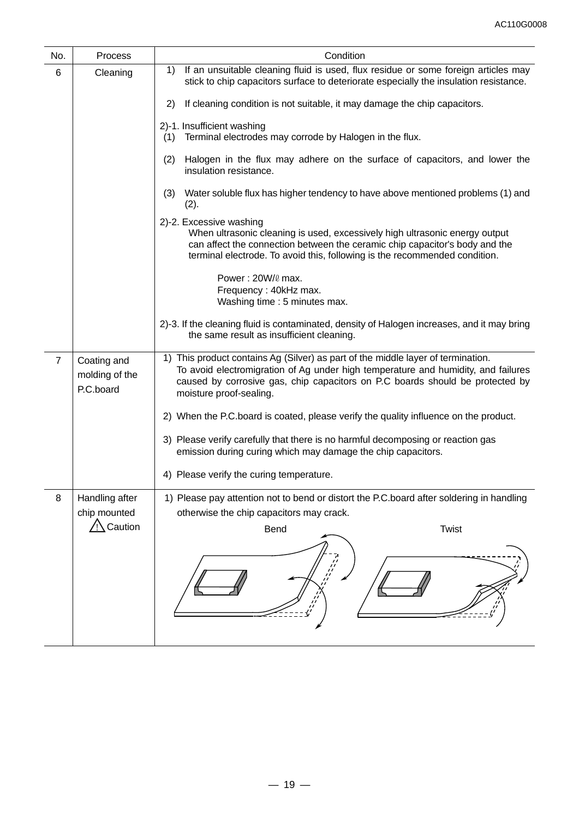| No.            | Process                                              | Condition                                                                                                                                                                                                                                                                         |
|----------------|------------------------------------------------------|-----------------------------------------------------------------------------------------------------------------------------------------------------------------------------------------------------------------------------------------------------------------------------------|
| 6              | Cleaning                                             | If an unsuitable cleaning fluid is used, flux residue or some foreign articles may<br>1)<br>stick to chip capacitors surface to deteriorate especially the insulation resistance.                                                                                                 |
|                |                                                      | If cleaning condition is not suitable, it may damage the chip capacitors.<br>2)                                                                                                                                                                                                   |
|                |                                                      | 2)-1. Insufficient washing<br>Terminal electrodes may corrode by Halogen in the flux.<br>(1)                                                                                                                                                                                      |
|                |                                                      | Halogen in the flux may adhere on the surface of capacitors, and lower the<br>(2)<br>insulation resistance.                                                                                                                                                                       |
|                |                                                      | Water soluble flux has higher tendency to have above mentioned problems (1) and<br>(3)<br>(2).                                                                                                                                                                                    |
|                |                                                      | 2)-2. Excessive washing<br>When ultrasonic cleaning is used, excessively high ultrasonic energy output<br>can affect the connection between the ceramic chip capacitor's body and the<br>terminal electrode. To avoid this, following is the recommended condition.               |
|                |                                                      | Power: 20W/0 max.<br>Frequency: 40kHz max.<br>Washing time: 5 minutes max.                                                                                                                                                                                                        |
|                |                                                      | 2)-3. If the cleaning fluid is contaminated, density of Halogen increases, and it may bring<br>the same result as insufficient cleaning.                                                                                                                                          |
| $\overline{7}$ | Coating and<br>molding of the<br>P.C.board           | 1) This product contains Ag (Silver) as part of the middle layer of termination.<br>To avoid electromigration of Ag under high temperature and humidity, and failures<br>caused by corrosive gas, chip capacitors on P.C boards should be protected by<br>moisture proof-sealing. |
|                |                                                      | 2) When the P.C.board is coated, please verify the quality influence on the product.                                                                                                                                                                                              |
|                |                                                      | 3) Please verify carefully that there is no harmful decomposing or reaction gas<br>emission during curing which may damage the chip capacitors.                                                                                                                                   |
|                |                                                      | 4) Please verify the curing temperature.                                                                                                                                                                                                                                          |
| 8              | Handling after<br>chip mounted<br>$\sqrt{N}$ Caution | 1) Please pay attention not to bend or distort the P.C.board after soldering in handling<br>otherwise the chip capacitors may crack.<br>Twist<br>Bend                                                                                                                             |
|                |                                                      |                                                                                                                                                                                                                                                                                   |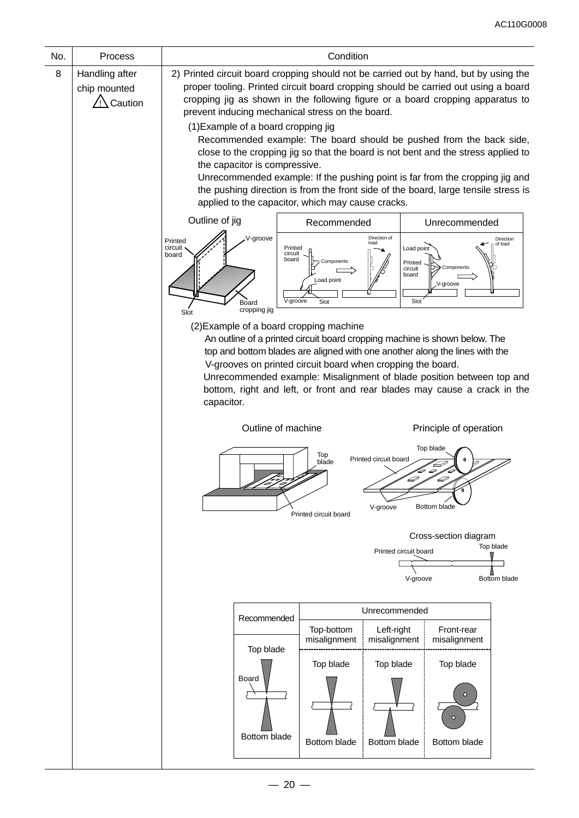| No. | Process                                   | Condition                                                                                                                                                                                                                                                                                                                                                                                                                       |  |  |  |  |  |  |  |
|-----|-------------------------------------------|---------------------------------------------------------------------------------------------------------------------------------------------------------------------------------------------------------------------------------------------------------------------------------------------------------------------------------------------------------------------------------------------------------------------------------|--|--|--|--|--|--|--|
| 8   | Handling after<br>chip mounted<br>Caution | 2) Printed circuit board cropping should not be carried out by hand, but by using the<br>proper tooling. Printed circuit board cropping should be carried out using a board<br>cropping jig as shown in the following figure or a board cropping apparatus to<br>prevent inducing mechanical stress on the board.<br>(1) Example of a board cropping jig<br>Recommended example: The board should be pushed from the back side, |  |  |  |  |  |  |  |
|     |                                           | close to the cropping jig so that the board is not bent and the stress applied to<br>the capacitor is compressive.                                                                                                                                                                                                                                                                                                              |  |  |  |  |  |  |  |
|     |                                           | Unrecommended example: If the pushing point is far from the cropping jig and<br>the pushing direction is from the front side of the board, large tensile stress is<br>applied to the capacitor, which may cause cracks.                                                                                                                                                                                                         |  |  |  |  |  |  |  |
|     |                                           | Outline of jig<br>Recommended<br>Unrecommended                                                                                                                                                                                                                                                                                                                                                                                  |  |  |  |  |  |  |  |
|     |                                           | V-groove<br>Direction of<br>Direction<br>Printed<br>load<br>of load<br>circuit<br>Printed<br>Load point<br>circuit<br>board<br>board<br>Components<br>Printed<br>Components<br>circuit<br>board<br>Load point<br>V-groove<br>V-groove<br>Slot<br>Slot<br>Board<br>cropping jig                                                                                                                                                  |  |  |  |  |  |  |  |
|     |                                           | Slot<br>(2) Example of a board cropping machine                                                                                                                                                                                                                                                                                                                                                                                 |  |  |  |  |  |  |  |
|     |                                           | An outline of a printed circuit board cropping machine is shown below. The<br>top and bottom blades are aligned with one another along the lines with the                                                                                                                                                                                                                                                                       |  |  |  |  |  |  |  |
|     |                                           | V-grooves on printed circuit board when cropping the board.                                                                                                                                                                                                                                                                                                                                                                     |  |  |  |  |  |  |  |
|     |                                           | Unrecommended example: Misalignment of blade position between top and<br>bottom, right and left, or front and rear blades may cause a crack in the                                                                                                                                                                                                                                                                              |  |  |  |  |  |  |  |
|     |                                           | capacitor.                                                                                                                                                                                                                                                                                                                                                                                                                      |  |  |  |  |  |  |  |
|     |                                           | Outline of machine<br>Principle of operation                                                                                                                                                                                                                                                                                                                                                                                    |  |  |  |  |  |  |  |
|     |                                           | Top blade<br>Top<br>Printed circuit board<br>blade<br>D<br>V-groove<br>Bottom blade<br>Printed circuit board                                                                                                                                                                                                                                                                                                                    |  |  |  |  |  |  |  |
|     |                                           | Cross-section diagram                                                                                                                                                                                                                                                                                                                                                                                                           |  |  |  |  |  |  |  |
|     |                                           | Top blade<br>Printed circuit board                                                                                                                                                                                                                                                                                                                                                                                              |  |  |  |  |  |  |  |
|     |                                           | Bottom blade<br>V-groove                                                                                                                                                                                                                                                                                                                                                                                                        |  |  |  |  |  |  |  |
|     |                                           |                                                                                                                                                                                                                                                                                                                                                                                                                                 |  |  |  |  |  |  |  |
|     |                                           | Unrecommended<br>Recommended                                                                                                                                                                                                                                                                                                                                                                                                    |  |  |  |  |  |  |  |
|     |                                           | Top-bottom<br>Left-right<br>Front-rear<br>misalignment<br>misalignment<br>misalignment<br>Top blade                                                                                                                                                                                                                                                                                                                             |  |  |  |  |  |  |  |
|     |                                           | Top blade<br>Top blade<br>Top blade                                                                                                                                                                                                                                                                                                                                                                                             |  |  |  |  |  |  |  |
|     |                                           | Board<br>$\circ$<br>Bottom blade<br>Bottom blade<br>Bottom blade<br>Bottom blade                                                                                                                                                                                                                                                                                                                                                |  |  |  |  |  |  |  |
|     |                                           |                                                                                                                                                                                                                                                                                                                                                                                                                                 |  |  |  |  |  |  |  |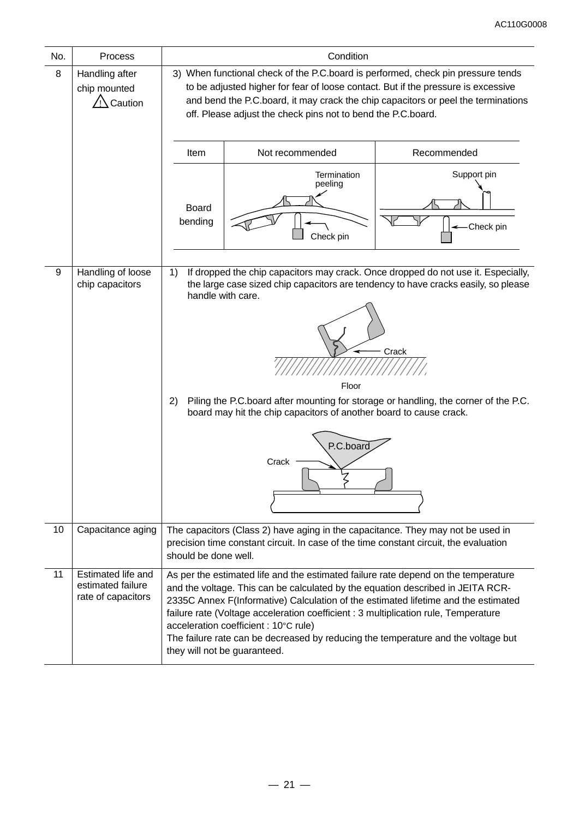| No. | <b>Process</b>                                                | Condition                                                                                                                                                                                                                                                                                                                                                                                                     |                                                                                                                                                                                                                                                                                                                                                                                                                                                                                                                  |                          |  |  |  |  |
|-----|---------------------------------------------------------------|---------------------------------------------------------------------------------------------------------------------------------------------------------------------------------------------------------------------------------------------------------------------------------------------------------------------------------------------------------------------------------------------------------------|------------------------------------------------------------------------------------------------------------------------------------------------------------------------------------------------------------------------------------------------------------------------------------------------------------------------------------------------------------------------------------------------------------------------------------------------------------------------------------------------------------------|--------------------------|--|--|--|--|
| 8   | Handling after<br>chip mounted<br>Caution                     | 3) When functional check of the P.C.board is performed, check pin pressure tends<br>to be adjusted higher for fear of loose contact. But if the pressure is excessive<br>and bend the P.C.board, it may crack the chip capacitors or peel the terminations<br>off. Please adjust the check pins not to bend the P.C.board.                                                                                    |                                                                                                                                                                                                                                                                                                                                                                                                                                                                                                                  |                          |  |  |  |  |
|     |                                                               | Item<br>Not recommended<br>Recommended                                                                                                                                                                                                                                                                                                                                                                        |                                                                                                                                                                                                                                                                                                                                                                                                                                                                                                                  |                          |  |  |  |  |
|     |                                                               | Board<br>bending                                                                                                                                                                                                                                                                                                                                                                                              | Termination<br>peeling<br>Check pin                                                                                                                                                                                                                                                                                                                                                                                                                                                                              | Support pin<br>Check pin |  |  |  |  |
| 9   | Handling of loose<br>chip capacitors                          | If dropped the chip capacitors may crack. Once dropped do not use it. Especially,<br>1)<br>the large case sized chip capacitors are tendency to have cracks easily, so please<br>handle with care.<br>Crack<br>Floor<br>Piling the P.C.board after mounting for storage or handling, the corner of the P.C.<br>2)<br>board may hit the chip capacitors of another board to cause crack.<br>P.C.board<br>Crack |                                                                                                                                                                                                                                                                                                                                                                                                                                                                                                                  |                          |  |  |  |  |
| 10  | Capacitance aging                                             | should be done well.                                                                                                                                                                                                                                                                                                                                                                                          | The capacitors (Class 2) have aging in the capacitance. They may not be used in<br>precision time constant circuit. In case of the time constant circuit, the evaluation                                                                                                                                                                                                                                                                                                                                         |                          |  |  |  |  |
| 11  | Estimated life and<br>estimated failure<br>rate of capacitors |                                                                                                                                                                                                                                                                                                                                                                                                               | As per the estimated life and the estimated failure rate depend on the temperature<br>and the voltage. This can be calculated by the equation described in JEITA RCR-<br>2335C Annex F(Informative) Calculation of the estimated lifetime and the estimated<br>failure rate (Voltage acceleration coefficient : 3 multiplication rule, Temperature<br>acceleration coefficient : 10°C rule)<br>The failure rate can be decreased by reducing the temperature and the voltage but<br>they will not be guaranteed. |                          |  |  |  |  |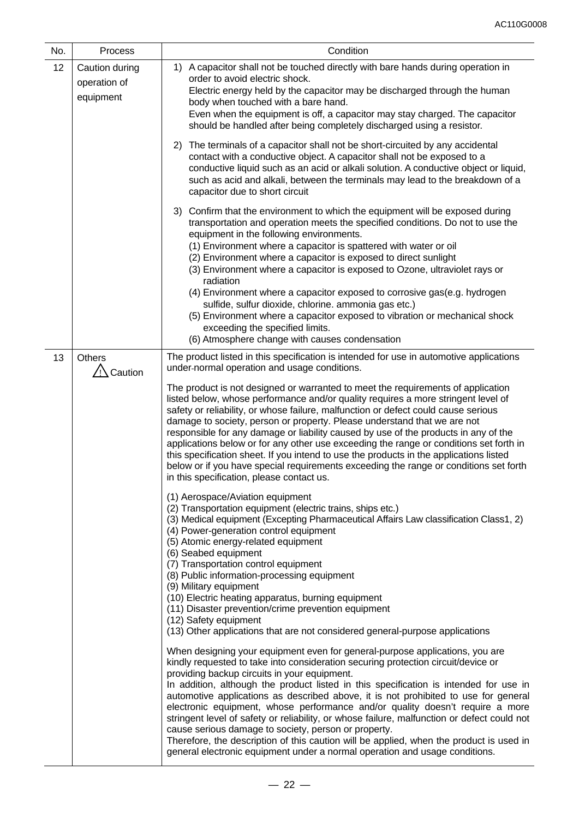| No. | Process                                     | Condition                                                                                                                                                                                                                                                                                                                                                                                                                                                                                                                                                                                                                                                                                                                                                                                                           |  |  |  |
|-----|---------------------------------------------|---------------------------------------------------------------------------------------------------------------------------------------------------------------------------------------------------------------------------------------------------------------------------------------------------------------------------------------------------------------------------------------------------------------------------------------------------------------------------------------------------------------------------------------------------------------------------------------------------------------------------------------------------------------------------------------------------------------------------------------------------------------------------------------------------------------------|--|--|--|
| 12  | Caution during<br>operation of<br>equipment | 1) A capacitor shall not be touched directly with bare hands during operation in<br>order to avoid electric shock.<br>Electric energy held by the capacitor may be discharged through the human<br>body when touched with a bare hand.<br>Even when the equipment is off, a capacitor may stay charged. The capacitor<br>should be handled after being completely discharged using a resistor.                                                                                                                                                                                                                                                                                                                                                                                                                      |  |  |  |
|     |                                             | The terminals of a capacitor shall not be short-circuited by any accidental<br>2)<br>contact with a conductive object. A capacitor shall not be exposed to a<br>conductive liquid such as an acid or alkali solution. A conductive object or liquid,<br>such as acid and alkali, between the terminals may lead to the breakdown of a<br>capacitor due to short circuit                                                                                                                                                                                                                                                                                                                                                                                                                                             |  |  |  |
|     |                                             | 3) Confirm that the environment to which the equipment will be exposed during<br>transportation and operation meets the specified conditions. Do not to use the<br>equipment in the following environments.<br>(1) Environment where a capacitor is spattered with water or oil<br>(2) Environment where a capacitor is exposed to direct sunlight<br>(3) Environment where a capacitor is exposed to Ozone, ultraviolet rays or<br>radiation                                                                                                                                                                                                                                                                                                                                                                       |  |  |  |
|     |                                             | (4) Environment where a capacitor exposed to corrosive gas(e.g. hydrogen<br>sulfide, sulfur dioxide, chlorine. ammonia gas etc.)<br>(5) Environment where a capacitor exposed to vibration or mechanical shock<br>exceeding the specified limits.<br>(6) Atmosphere change with causes condensation                                                                                                                                                                                                                                                                                                                                                                                                                                                                                                                 |  |  |  |
| 13  | <b>Others</b><br>Caution                    | The product listed in this specification is intended for use in automotive applications<br>under-normal operation and usage conditions.                                                                                                                                                                                                                                                                                                                                                                                                                                                                                                                                                                                                                                                                             |  |  |  |
|     |                                             | The product is not designed or warranted to meet the requirements of application<br>listed below, whose performance and/or quality requires a more stringent level of<br>safety or reliability, or whose failure, malfunction or defect could cause serious<br>damage to society, person or property. Please understand that we are not<br>responsible for any damage or liability caused by use of the products in any of the<br>applications below or for any other use exceeding the range or conditions set forth in<br>this specification sheet. If you intend to use the products in the applications listed<br>below or if you have special requirements exceeding the range or conditions set forth<br>in this specification, please contact us.                                                            |  |  |  |
|     |                                             | (1) Aerospace/Aviation equipment<br>(2) Transportation equipment (electric trains, ships etc.)<br>(3) Medical equipment (Excepting Pharmaceutical Affairs Law classification Class1, 2)<br>(4) Power-generation control equipment<br>(5) Atomic energy-related equipment<br>(6) Seabed equipment<br>(7) Transportation control equipment<br>(8) Public information-processing equipment<br>(9) Military equipment<br>(10) Electric heating apparatus, burning equipment<br>(11) Disaster prevention/crime prevention equipment<br>(12) Safety equipment<br>(13) Other applications that are not considered general-purpose applications                                                                                                                                                                             |  |  |  |
|     |                                             | When designing your equipment even for general-purpose applications, you are<br>kindly requested to take into consideration securing protection circuit/device or<br>providing backup circuits in your equipment.<br>In addition, although the product listed in this specification is intended for use in<br>automotive applications as described above, it is not prohibited to use for general<br>electronic equipment, whose performance and/or quality doesn't require a more<br>stringent level of safety or reliability, or whose failure, malfunction or defect could not<br>cause serious damage to society, person or property.<br>Therefore, the description of this caution will be applied, when the product is used in<br>general electronic equipment under a normal operation and usage conditions. |  |  |  |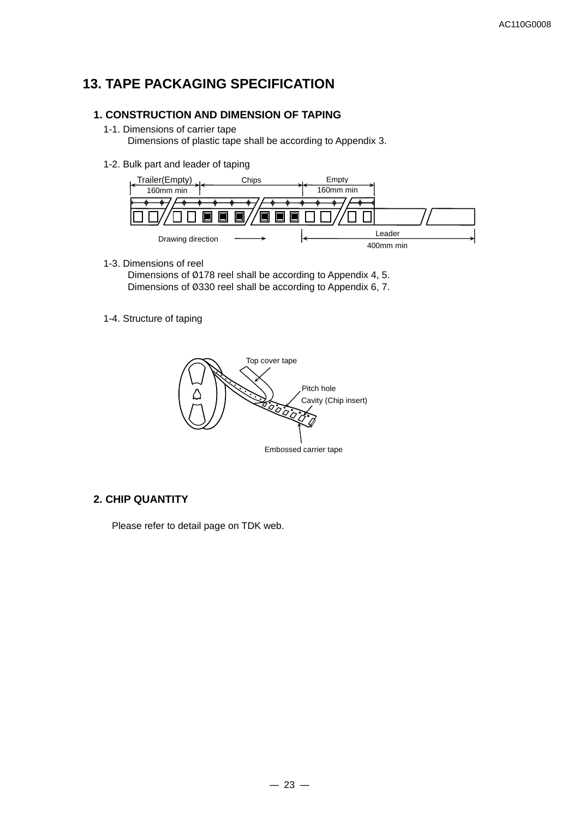# **13. TAPE PACKAGING SPECIFICATION**

### **1. CONSTRUCTION AND DIMENSION OF TAPING**

1-1. Dimensions of carrier tape

Dimensions of plastic tape shall be according to Appendix 3.

1-2. Bulk part and leader of taping



1-3. Dimensions of reel

 Dimensions of Ø178 reel shall be according to Appendix 4, 5. Dimensions of Ø330 reel shall be according to Appendix 6, 7.

1-4. Structure of taping



## **2. CHIP QUANTITY**

Please refer to detail page on TDK web.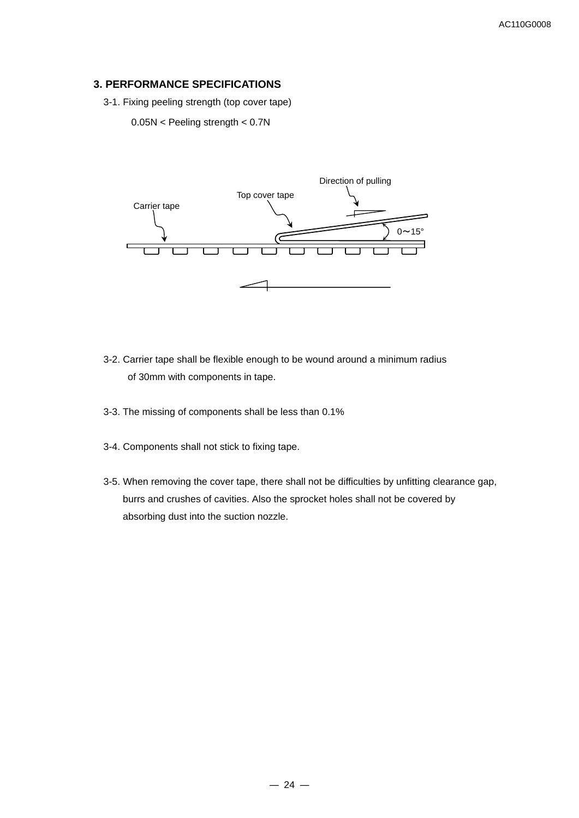## **3. PERFORMANCE SPECIFICATIONS**

3-1. Fixing peeling strength (top cover tape)

0.05N < Peeling strength < 0.7N



- 3-2. Carrier tape shall be flexible enough to be wound around a minimum radius of 30mm with components in tape.
- 3-3. The missing of components shall be less than 0.1%
- 3-4. Components shall not stick to fixing tape.
- 3-5. When removing the cover tape, there shall not be difficulties by unfitting clearance gap, burrs and crushes of cavities. Also the sprocket holes shall not be covered by absorbing dust into the suction nozzle.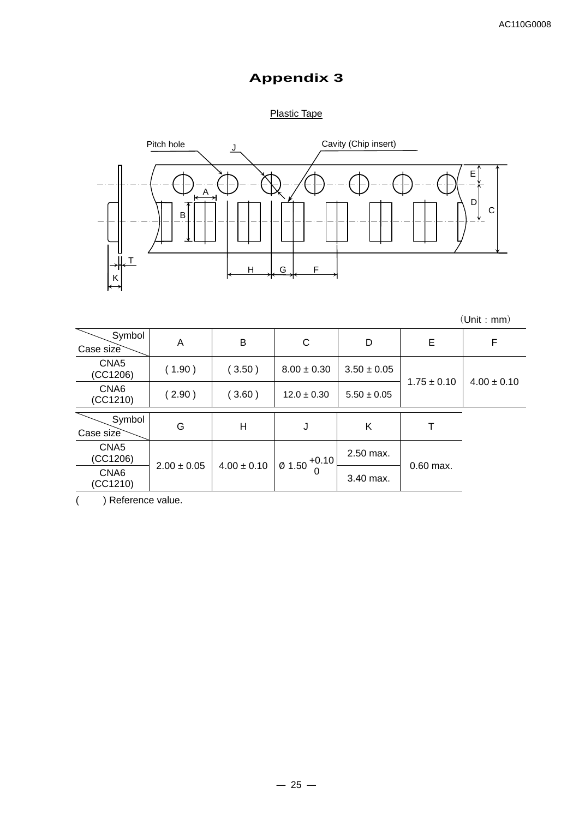# **Appendix 3**

## Plastic Tape



(Unit:mm)

| Symbol<br>Case size          | A               | B               | C                | D               | Е               | F               |
|------------------------------|-----------------|-----------------|------------------|-----------------|-----------------|-----------------|
| CNA <sub>5</sub><br>(CC1206) | (1.90)          | (3.50)          | $8.00 \pm 0.30$  | $3.50 \pm 0.05$ | $1.75 \pm 0.10$ | $4.00 \pm 0.10$ |
| CNA6<br>(CC1210)             | (2.90)          | (3.60)          | $12.0 \pm 0.30$  | $5.50 \pm 0.05$ |                 |                 |
| Symbol<br>Case size          | G               | Н               | J                | Κ               |                 |                 |
| CNA <sub>5</sub><br>(CC1206) |                 |                 | $101.50 + 0.101$ | 2.50 max.       |                 |                 |
| CNA6<br>(CC1210)             | $2.00 \pm 0.05$ | $4.00 \pm 0.10$ | 0                | 3.40 max.       | $0.60$ max.     |                 |

( ) Reference value.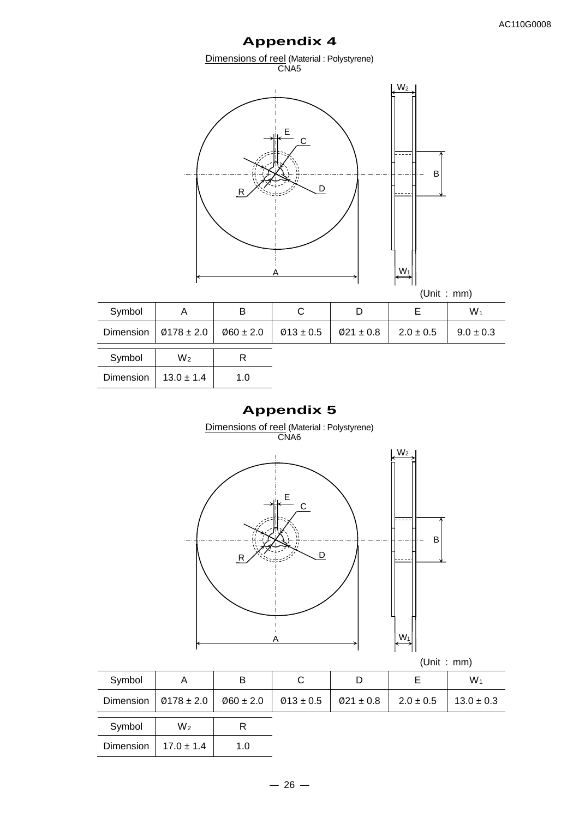# **Appendix 4**

Dimensions of reel (Material : Polystyrene) CNA5



| Symbol |                                                                                                      | B |  | W1            |
|--------|------------------------------------------------------------------------------------------------------|---|--|---------------|
|        | Dimension $\vert$ Ø178 ± 2.0 $\vert$ Ø60 ± 2.0 $\vert$ Ø13 ± 0.5 $\vert$ Ø21 ± 0.8 $\vert$ 2.0 ± 0.5 |   |  | $9.0 \pm 0.3$ |
| Symbol | M۰                                                                                                   |   |  |               |

| Symbol    | $\mathcal{N}$  |     |  |
|-----------|----------------|-----|--|
| Dimension | $13.0 \pm 1.4$ | 1.0 |  |

## **Appendix 5**

Dimensions of reel (Material : Polystyrene)

CNA<sub>6</sub> (Unit : mm) Symbol A B C D E W1 Dimension |  $\emptyset$ 178 ± 2.0 |  $\emptyset$ 60 ± 2.0 |  $\emptyset$ 13 ± 0.5 |  $\emptyset$ 21 ± 0.8 | 2.0 ± 0.5 | 13.0 ± 0.3 Symbol W<sub>2</sub> R Dimension  $17.0 \pm 1.4$  1.0 B  $\overline{A}$   $W_1$ E C R Assembly C  $W<sup>2</sup>$